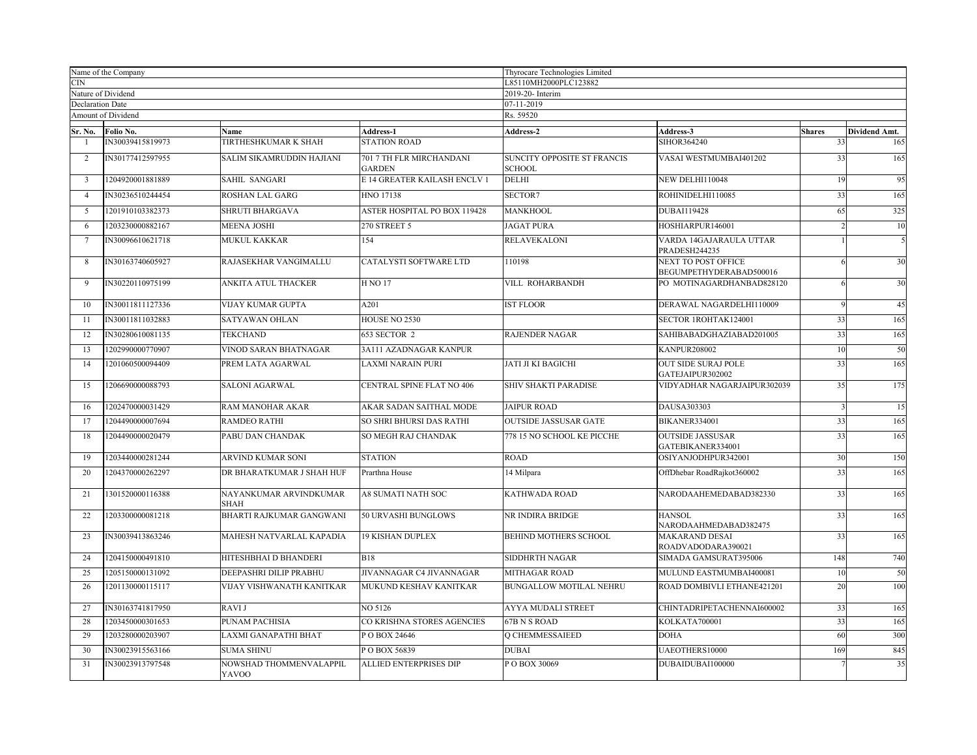| Name of the Company     |                               |                                         | Thyrocare Technologies Limited            |                                              |                                                |                     |                             |  |
|-------------------------|-------------------------------|-----------------------------------------|-------------------------------------------|----------------------------------------------|------------------------------------------------|---------------------|-----------------------------|--|
| <b>CIN</b>              |                               |                                         |                                           | L85110MH2000PLC123882                        |                                                |                     |                             |  |
| <b>Declaration Date</b> | Nature of Dividend            |                                         |                                           | 2019-20- Interim<br>07-11-2019               |                                                |                     |                             |  |
|                         | Amount of Dividend            |                                         |                                           | Rs. 59520                                    |                                                |                     |                             |  |
|                         |                               |                                         |                                           |                                              |                                                |                     |                             |  |
| Sr. No.                 | Folio No.<br>IN30039415819973 | Name<br>TIRTHESHKUMAR K SHAH            | <b>Address-1</b><br><b>STATION ROAD</b>   | Address-2                                    | <b>Address-3</b><br><b>SIHOR364240</b>         | <b>Shares</b><br>33 | <b>Dividend Amt.</b><br>165 |  |
|                         |                               |                                         |                                           |                                              |                                                |                     |                             |  |
| 2                       | IN30177412597955              | SALIM SIKAMRUDDIN HAJIANI               | 701 7 TH FLR MIRCHANDANI<br><b>GARDEN</b> | SUNCITY OPPOSITE ST FRANCIS<br><b>SCHOOL</b> | VASAI WESTMUMBAI401202                         | 33                  | 165                         |  |
| 3                       | 1204920001881889              | SAHIL SANGARI                           | E 14 GREATER KAILASH ENCLV 1              | <b>DELHI</b>                                 | <b>NEW DELHI110048</b>                         | 19                  | 95                          |  |
| $\overline{4}$          | IN30236510244454              | <b>ROSHAN LAL GARG</b>                  | <b>HNO 17138</b>                          | SECTOR7                                      | ROHINIDELHI110085                              | 33                  | 165                         |  |
| 5                       | 1201910103382373              | <b>SHRUTI BHARGAVA</b>                  | <b>ASTER HOSPITAL PO BOX 119428</b>       | <b>MANKHOOL</b>                              | <b>DUBAI119428</b>                             | 65                  | 325                         |  |
| -6                      | 1203230000882167              | <b>MEENA JOSHI</b>                      | 270 STREET 5                              | <b>JAGAT PURA</b>                            | HOSHIARPUR146001                               |                     | $10\,$                      |  |
| $\overline{7}$          | IN30096610621718              | MUKUL KAKKAR                            | 154                                       | <b>RELAVEKALONI</b>                          | VARDA 14GAJARAULA UTTAR<br>PRADESH244235       |                     | $\mathfrak{s}$              |  |
| 8                       | IN30163740605927              | RAJASEKHAR VANGIMALLU                   | CATALYSTI SOFTWARE LTD                    | 110198                                       | NEXT TO POST OFFICE<br>BEGUMPETHYDERABAD500016 |                     | 30                          |  |
| 9                       | IN30220110975199              | ANKITA ATUL THACKER                     | <b>H NO 17</b>                            | VILL ROHARBANDH                              | PO MOTINAGARDHANBAD828120                      |                     | 30                          |  |
| 10                      | IN30011811127336              | <b>VIJAY KUMAR GUPTA</b>                | A201                                      | <b>IST FLOOR</b>                             | DERAWAL NAGARDELHI110009                       |                     | 45                          |  |
| 11                      | IN30011811032883              | SATYAWAN OHLAN                          | HOUSE NO 2530                             |                                              | SECTOR 1ROHTAK124001                           | 33                  | 165                         |  |
| 12                      | IN30280610081135              | <b>TEKCHAND</b>                         | 653 SECTOR 2                              | <b>RAJENDER NAGAR</b>                        | SAHIBABADGHAZIABAD201005                       | 33                  | 165                         |  |
| 13                      | 1202990000770907              | VINOD SARAN BHATNAGAR                   | 3A111 AZADNAGAR KANPUR                    |                                              | <b>KANPUR208002</b>                            | 10                  | 50                          |  |
| 14                      | 1201060500094409              | PREM LATA AGARWAL                       | LAXMI NARAIN PURI                         | <b>JATI JI KI BAGICHI</b>                    | OUT SIDE SURAJ POLE<br>GATEJAIPUR302002        | 33                  | 165                         |  |
| 15                      | 1206690000088793              | <b>SALONI AGARWAL</b>                   | <b>CENTRAL SPINE FLAT NO 406</b>          | <b>SHIV SHAKTI PARADISE</b>                  | VIDYADHAR NAGARJAIPUR302039                    | 35                  | 175                         |  |
| 16                      | 1202470000031429              | RAM MANOHAR AKAR                        | AKAR SADAN SAITHAL MODE                   | <b>JAIPUR ROAD</b>                           | DAUSA303303                                    |                     | 15                          |  |
| 17                      | 1204490000007694              | <b>RAMDEO RATHI</b>                     | SO SHRI BHURSI DAS RATHI                  | <b>OUTSIDE JASSUSAR GATE</b>                 | BIKANER334001                                  | 33                  | 165                         |  |
| 18                      | 1204490000020479              | PABU DAN CHANDAK                        | SO MEGH RAJ CHANDAK                       | 778 15 NO SCHOOL KE PICCHE                   | <b>OUTSIDE JASSUSAR</b><br>GATEBIKANER334001   | 33                  | 165                         |  |
| 19                      | 1203440000281244              | <b>ARVIND KUMAR SONI</b>                | <b>STATION</b>                            | <b>ROAD</b>                                  | OSIYANJODHPUR342001                            | 30                  | 150                         |  |
| 20                      | 1204370000262297              | DR BHARATKUMAR J SHAH HUF               | Prarthna House                            | 14 Milpara                                   | OffDhebar RoadRajkot360002                     | 33                  | 165                         |  |
| 21                      | 1301520000116388              | NAYANKUMAR ARVINDKUMAR<br><b>SHAH</b>   | <b>A8 SUMATI NATH SOC</b>                 | <b>KATHWADA ROAD</b>                         | NARODAAHEMEDABAD382330                         | 33                  | 165                         |  |
| 22                      | 1203300000081218              | BHARTI RAJKUMAR GANGWANI                | 50 URVASHI BUNGLOWS                       | NR INDIRA BRIDGE                             | <b>HANSOL</b><br>NARODAAHMEDABAD382475         | 33                  | 165                         |  |
| 23                      | IN30039413863246              | MAHESH NATVARLAL KAPADIA                | <b>19 KISHAN DUPLEX</b>                   | BEHIND MOTHERS SCHOOL                        | <b>MAKARAND DESAI</b><br>ROADVADODARA390021    | 33                  | 165                         |  |
| 24                      | 1204150000491810              | HITESHBHAI D BHANDERI                   | <b>B18</b>                                | SIDDHRTH NAGAR                               | SIMADA GAMSURAT395006                          | 148                 | 740                         |  |
| 25                      | 1205150000131092              | DEEPASHRI DILIP PRABHU                  | JIVANNAGAR C4 JIVANNAGAR                  | MITHAGAR ROAD                                | MULUND EASTMUMBAI400081                        | 10                  | 50                          |  |
| 26                      | 1201130000115117              | VIJAY VISHWANATH KANITKAR               | MUKUND KESHAV KANITKAR                    | <b>BUNGALLOW MOTILAL NEHRU</b>               | ROAD DOMBIVLI ETHANE421201                     | 20                  | 100                         |  |
| 27                      | IN30163741817950              | <b>RAVIJ</b>                            | NO 5126                                   | AYYA MUDALI STREET                           | CHINTADRIPETACHENNAI600002                     | 33                  | 165                         |  |
| 28                      | 1203450000301653              | PUNAM PACHISIA                          | CO KRISHNA STORES AGENCIES                | 67B N S ROAD                                 | KOLKATA700001                                  | 33                  | 165                         |  |
| 29                      | 1203280000203907              | LAXMI GANAPATHI BHAT                    | POBOX 24646                               | Q CHEMMESSAIEED                              | <b>DOHA</b>                                    | 60                  | 300                         |  |
| 30                      | IN30023915563166              | <b>SUMA SHINU</b>                       | POBOX 56839                               | <b>DUBAI</b>                                 | UAEOTHERS10000                                 | 169                 | 845                         |  |
| 31                      | IN30023913797548              | NOWSHAD THOMMENVALAPPIL<br><b>YAVOO</b> | <b>ALLIED ENTERPRISES DIP</b>             | POBOX 30069                                  | DUBAIDUBAI100000                               |                     | 35                          |  |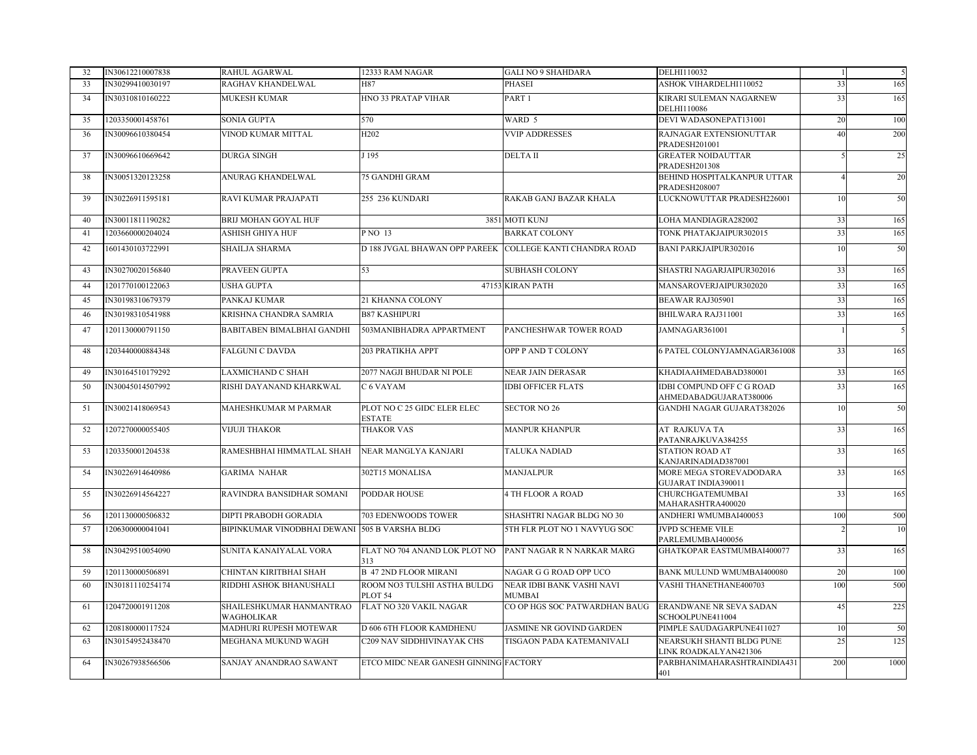| 32 | IN30612210007838 | <b>RAHUL AGARWAL</b>                          | 12333 RAM NAGAR                                          | <b>GALI NO 9 SHAHDARA</b>                  | DELHI110032                                                |     | 5                        |
|----|------------------|-----------------------------------------------|----------------------------------------------------------|--------------------------------------------|------------------------------------------------------------|-----|--------------------------|
| 33 | IN30299410030197 | RAGHAV KHANDELWAL                             | H87                                                      | PHASEI                                     | <b>ASHOK VIHARDELHI110052</b>                              | 33  | 165                      |
| 34 | IN30310810160222 | <b>MUKESH KUMAR</b>                           | HNO 33 PRATAP VIHAR                                      | PART <sub>1</sub>                          | KIRARI SULEMAN NAGARNEW<br>DELHI110086                     | 33  | 165                      |
| 35 | 1203350001458761 | SONIA GUPTA                                   | 570                                                      | WARD 5                                     | DEVI WADASONEPAT131001                                     | 20  | 100                      |
| 36 | IN30096610380454 | VINOD KUMAR MITTAL                            | H <sub>202</sub>                                         | <b>VVIP ADDRESSES</b>                      | RAJNAGAR EXTENSIONUTTAR<br>PRADESH201001                   | 40  | 200                      |
| 37 | IN30096610669642 | <b>DURGA SINGH</b>                            | J 195                                                    | <b>DELTA II</b>                            | <b>GREATER NOIDAUTTAR</b><br>PRADESH201308                 |     | 25                       |
| 38 | IN30051320123258 | ANURAG KHANDELWAL                             | <b>75 GANDHI GRAM</b>                                    |                                            | BEHIND HOSPITALKANPUR UTTAR<br><b>PRADESH208007</b>        |     | 20                       |
| 39 | IN30226911595181 | RAVI KUMAR PRAJAPATI                          | 255 236 KUNDARI                                          | RAKAB GANJ BAZAR KHALA                     | LUCKNOWUTTAR PRADESH226001                                 | 10  | 50                       |
| 40 | IN30011811190282 | <b>BRIJ MOHAN GOYAL HUF</b>                   |                                                          | 3851 MOTI KUNJ                             | LOHA MANDIAGRA282002                                       | 33  | 165                      |
| 41 | 1203660000204024 | ASHISH GHIYA HUF                              | P NO 13                                                  | <b>BARKAT COLONY</b>                       | TONK PHATAKJAIPUR302015                                    | 33  | 165                      |
| 42 | 1601430103722991 | SHAILJA SHARMA                                | D 188 JVGAL BHAWAN OPP PAREEK COLLEGE KANTI CHANDRA ROAD |                                            | <b>BANI PARKJAIPUR302016</b>                               | 10  | 50                       |
| 43 | IN30270020156840 | PRAVEEN GUPTA                                 | 53                                                       | <b>SUBHASH COLONY</b>                      | SHASTRI NAGARJAIPUR302016                                  | 33  | 165                      |
| 44 | 1201770100122063 | USHA GUPTA                                    |                                                          | 47153 KIRAN PATH                           | MANSAROVERJAIPUR302020                                     | 33  | 165                      |
| 45 | IN30198310679379 | PANKAJ KUMAR                                  | 21 KHANNA COLONY                                         |                                            | BEAWAR RAJ305901                                           | 33  | 165                      |
| 46 | IN30198310541988 | KRISHNA CHANDRA SAMRIA                        | <b>B87 KASHIPURI</b>                                     |                                            | BHILWARA RAJ311001                                         | 33  | 165                      |
| 47 | 1201130000791150 | <b>BABITABEN BIMALBHAI GANDHI</b>             | 503MANIBHADRA APPARTMENT                                 | PANCHESHWAR TOWER ROAD                     | JAMNAGAR361001                                             |     | $\overline{\phantom{0}}$ |
| 48 | 1203440000884348 | <b>FALGUNI C DAVDA</b>                        | 203 PRATIKHA APPT                                        | OPP P AND T COLONY                         | 6 PATEL COLONYJAMNAGAR361008                               | 33  | 165                      |
| 49 | IN30164510179292 | <b>LAXMICHAND C SHAH</b>                      | 2077 NAGJI BHUDAR NI POLE                                | <b>NEAR JAIN DERASAR</b>                   | KHADIAAHMEDABAD380001                                      | 33  | 165                      |
| 50 | IN30045014507992 | RISHI DAYANAND KHARKWAL                       | C 6 VAYAM                                                | <b>IDBI OFFICER FLATS</b>                  | <b>IDBI COMPUND OFF C G ROAD</b><br>AHMEDABADGUJARAT380006 | 33  | 165                      |
| 51 | IN30021418069543 | MAHESHKUMAR M PARMAR                          | PLOT NO C 25 GIDC ELER ELEC<br><b>ESTATE</b>             | <b>SECTOR NO 26</b>                        | GANDHI NAGAR GUJARAT382026                                 | 10  | 50                       |
| 52 | 1207270000055405 | <b>VIJUJI THAKOR</b>                          | <b>THAKOR VAS</b>                                        | <b>MANPUR KHANPUR</b>                      | AT RAJKUVA TA<br>PATANRAJKUVA384255                        | 33  | 165                      |
| 53 | 1203350001204538 | RAMESHBHAI HIMMATLAL SHAH                     | NEAR MANGLYA KANJARI                                     | <b>TALUKA NADIAD</b>                       | <b>STATION ROAD AT</b><br>KANJARINADIAD387001              | 33  | 165                      |
| 54 | IN30226914640986 | <b>GARIMA NAHAR</b>                           | 302T15 MONALISA                                          | <b>MANJALPUR</b>                           | MORE MEGA STOREVADODARA<br>GUJARAT INDIA390011             | 33  | 165                      |
| 55 | IN30226914564227 | RAVINDRA BANSIDHAR SOMANI                     | <b>PODDAR HOUSE</b>                                      | <b>4 TH FLOOR A ROAD</b>                   | CHURCHGATEMUMBAI<br>MAHARASHTRA400020                      | 33  | 165                      |
| 56 | 1201130000506832 | DIPTI PRABODH GORADIA                         | 703 EDENWOODS TOWER                                      | SHASHTRI NAGAR BLDG NO 30                  | ANDHERI WMUMBAI400053                                      | 100 | 500                      |
| 57 | 1206300000041041 | BIPINKUMAR VINODBHAI DEWANI 505 B VARSHA BLDG |                                                          | 5TH FLR PLOT NO 1 NAVYUG SOC               | <b>JVPD SCHEME VILE</b><br>PARLEMUMBAI400056               |     | 10                       |
| 58 | IN30429510054090 | SUNITA KANAIYALAL VORA                        | FLAT NO 704 ANAND LOK PLOT NO<br>313                     | PANT NAGAR R N NARKAR MARG                 | GHATKOPAR EASTMUMBAI400077                                 | 33  | 165                      |
| 59 | 1201130000506891 | CHINTAN KIRITBHAI SHAH                        | <b>B 47 2ND FLOOR MIRANI</b>                             | NAGAR G G ROAD OPP UCO                     | <b>BANK MULUND WMUMBAI400080</b>                           | 20  | 100                      |
| 60 | IN30181110254174 | RIDDHI ASHOK BHANUSHALI                       | ROOM NO3 TULSHI ASTHA BULDG<br>PLOT <sub>54</sub>        | NEAR IDBI BANK VASHI NAVI<br><b>MUMBAI</b> | VASHI THANETHANE400703                                     | 100 | 500                      |
| 61 | 1204720001911208 | SHAILESHKUMAR HANMANTRAO<br><b>WAGHOLIKAR</b> | FLAT NO 320 VAKIL NAGAR                                  | CO OP HGS SOC PATWARDHAN BAUG              | ERANDWANE NR SEVA SADAN<br>SCHOOLPUNE411004                | 45  | 225                      |
| 62 | 1208180000117524 | MADHURI RUPESH MOTEWAR                        | D 606 6TH FLOOR KAMDHENU                                 | JASMINE NR GOVIND GARDEN                   | PIMPLE SAUDAGARPUNE411027                                  | 10  | 50                       |
| 63 | IN30154952438470 | MEGHANA MUKUND WAGH                           | C209 NAV SIDDHIVINAYAK CHS                               | TISGAON PADA KATEMANIVALI                  | NEARSUKH SHANTI BLDG PUNE<br>LINK ROADKALYAN421306         | 25  | 125                      |
| 64 | IN30267938566506 | SANJAY ANANDRAO SAWANT                        | ETCO MIDC NEAR GANESH GINNING FACTORY                    |                                            | PARBHANIMAHARASHTRAINDIA431<br>401                         | 200 | 1000                     |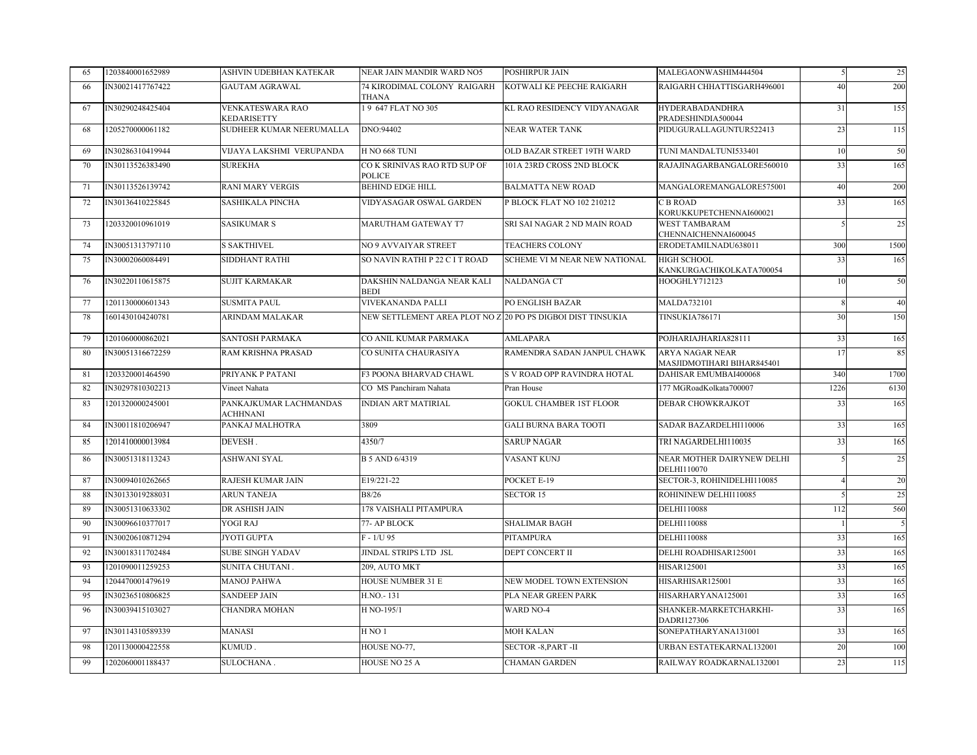| 65  | 1203840001652989 | ASHVIN UDEBHAN KATEKAR                    | NEAR JAIN MANDIR WARD NO5                                   | POSHIRPUR JAIN                 | MALEGAONWASHIM444504                                 |      | 25   |
|-----|------------------|-------------------------------------------|-------------------------------------------------------------|--------------------------------|------------------------------------------------------|------|------|
| -66 | IN30021417767422 | <b>GAUTAM AGRAWAL</b>                     | 74 KIRODIMAL COLONY RAIGARH<br><b>THANA</b>                 | KOTWALI KE PEECHE RAIGARH      | RAIGARH CHHATTISGARH496001                           | 40   | 200  |
| 67  | IN30290248425404 | <b>VENKATESWARA RAO</b><br>KEDARISETTY    | 19 647 FLAT NO 305                                          | KL RAO RESIDENCY VIDYANAGAR    | <b>HYDERABADANDHRA</b><br>PRADESHINDIA500044         | 31   | 155  |
| 68  | 1205270000061182 | SUDHEER KUMAR NEERUMALLA                  | DNO:94402                                                   | NEAR WATER TANK                | PIDUGURALLAGUNTUR522413                              | 23   | 115  |
| 69  | IN30286310419944 | VIJAYA LAKSHMI VERUPANDA                  | <b>H NO 668 TUNI</b>                                        | OLD BAZAR STREET 19TH WARD     | TUNI MANDALTUNI533401                                | 10   | 50   |
| 70  | IN30113526383490 | <b>SUREKHA</b>                            | CO K SRINIVAS RAO RTD SUP OF<br><b>POLICE</b>               | 101A 23RD CROSS 2ND BLOCK      | RAJAJINAGARBANGALORE560010                           | 33   | 165  |
| 71  | IN30113526139742 | <b>RANI MARY VERGIS</b>                   | <b>BEHIND EDGE HILL</b>                                     | <b>BALMATTA NEW ROAD</b>       | MANGALOREMANGALORE575001                             | 40   | 200  |
| 72  | IN30136410225845 | SASHIKALA PINCHA                          | VIDYASAGAR OSWAL GARDEN                                     | P BLOCK FLAT NO 102 210212     | <b>C B ROAD</b><br>KORUKKUPETCHENNAI600021           | 33   | 165  |
| 73  | 1203320010961019 | <b>SASIKUMAR S</b>                        | <b>MARUTHAM GATEWAY T7</b>                                  | SRI SAI NAGAR 2 ND MAIN ROAD   | <b>WEST TAMBARAM</b><br>CHENNAICHENNAI600045         |      | 25   |
| 74  | IN30051313797110 | S SAKTHIVEL                               | NO 9 AVVAIYAR STREET                                        | <b>TEACHERS COLONY</b>         | ERODETAMILNADU638011                                 | 300  | 1500 |
| 75  | IN30002060084491 | SIDDHANT RATHI                            | SO NAVIN RATHI P 22 C I T ROAD                              | SCHEME VI M NEAR NEW NATIONAL  | <b>HIGH SCHOOL</b><br>KANKURGACHIKOLKATA700054       | 33   | 165  |
| 76  | IN30220110615875 | <b>SUJIT KARMAKAR</b>                     | DAKSHIN NALDANGA NEAR KALI<br><b>BEDI</b>                   | <b>NALDANGA CT</b>             | HOOGHLY712123                                        | 10   | 50   |
| 77  | 1201130000601343 | <b>SUSMITA PAUL</b>                       | VIVEKANANDA PALLI                                           | PO ENGLISH BAZAR               | <b>MALDA732101</b>                                   |      | 40   |
| 78  | 1601430104240781 | ARINDAM MALAKAR                           | NEW SETTLEMENT AREA PLOT NO Z 20 PO PS DIGBOI DIST TINSUKIA |                                | TINSUKIA786171                                       | 30   | 150  |
| 79  | 1201060000862021 | SANTOSH PARMAKA                           | CO ANIL KUMAR PARMAKA                                       | <b>AMLAPARA</b>                | POJHARIAJHARIA828111                                 | 33   | 165  |
| 80  | IN30051316672259 | RAM KRISHNA PRASAD                        | CO SUNITA CHAURASIYA                                        | RAMENDRA SADAN JANPUL CHAWK    | <b>ARYA NAGAR NEAR</b><br>MASJIDMOTIHARI BIHAR845401 | 17   | 85   |
| 81  | 1203320001464590 | PRIYANK P PATANI                          | F3 POONA BHARVAD CHAWL                                      | S V ROAD OPP RAVINDRA HOTAL    | DAHISAR EMUMBAI400068                                | 340  | 1700 |
| 82  | IN30297810302213 | Vineet Nahata                             | CO MS Panchiram Nahata                                      | Pran House                     | 177 MGRoadKolkata700007                              | 1226 | 6130 |
| 83  | 1201320000245001 | PANKAJKUMAR LACHMANDAS<br><b>ACHHNANI</b> | <b>INDIAN ART MATIRIAL</b>                                  | <b>GOKUL CHAMBER 1ST FLOOR</b> | DEBAR CHOWKRAJKOT                                    | 33   | 165  |
| 84  | IN30011810206947 | PANKAJ MALHOTRA                           | 3809                                                        | <b>GALI BURNA BARA TOOTI</b>   | SADAR BAZARDELHI110006                               | 33   | 165  |
| 85  | 1201410000013984 | DEVESH.                                   | 4350/7                                                      | <b>SARUP NAGAR</b>             | TRI NAGARDELHI110035                                 | 33   | 165  |
| 86  | IN30051318113243 | ASHWANI SYAL                              | B 5 AND 6/4319                                              | VASANT KUNJ                    | NEAR MOTHER DAIRYNEW DELHI<br>DELHI110070            |      | 25   |
| 87  | IN30094010262665 | RAJESH KUMAR JAIN                         | E19/221-22                                                  | POCKET E-19                    | SECTOR-3, ROHINIDELHI110085                          |      | 20   |
| 88  | IN30133019288031 | <b>ARUN TANEJA</b>                        | <b>B8/26</b>                                                | <b>SECTOR 15</b>               | ROHININEW DELHI110085                                |      | 25   |
| 89  | IN30051310633302 | DR ASHISH JAIN                            | 178 VAISHALI PITAMPURA                                      |                                | <b>DELHI110088</b>                                   | 112  | 560  |
| 90  | IN30096610377017 | YOGI RAJ                                  | 77- AP BLOCK                                                | <b>SHALIMAR BAGH</b>           | DELHI110088                                          |      | 5    |
| 91  | IN30020610871294 | <b>JYOTI GUPTA</b>                        | $F - 1/U$ 95                                                | PITAMPURA                      | <b>DELHI110088</b>                                   | 33   | 165  |
| 92  | IN30018311702484 | SUBE SINGH YADAV                          | JINDAL STRIPS LTD JSL                                       | DEPT CONCERT II                | DELHI ROADHISAR125001                                | 33   | 165  |
| 93  | 1201090011259253 | SUNITA CHUTANI.                           | 209, AUTO MKT                                               |                                | HISAR125001                                          | 33   | 165  |
| 94  | 1204470001479619 | <b>MANOJ PAHWA</b>                        | <b>HOUSE NUMBER 31 E</b>                                    | NEW MODEL TOWN EXTENSION       | HISARHISAR125001                                     | 33   | 165  |
| 95  | IN30236510806825 | <b>SANDEEP JAIN</b>                       | H.NO.-131                                                   | PLA NEAR GREEN PARK            | HISARHARYANA125001                                   | 33   | 165  |
| 96  | IN30039415103027 | CHANDRA MOHAN                             | H NO-195/1                                                  | <b>WARD NO-4</b>               | SHANKER-MARKETCHARKHI-<br>DADRI127306                | 33   | 165  |
| 97  | IN30114310589339 | <b>MANASI</b>                             | HNO1                                                        | <b>MOH KALAN</b>               | SONEPATHARYANA131001                                 | 33   | 165  |
| 98  |                  |                                           |                                                             |                                |                                                      |      |      |
|     | 1201130000422558 | KUMUD.                                    | HOUSE NO-77,                                                | SECTOR -8, PART -II            | URBAN ESTATEKARNAL132001                             | 20   | 100  |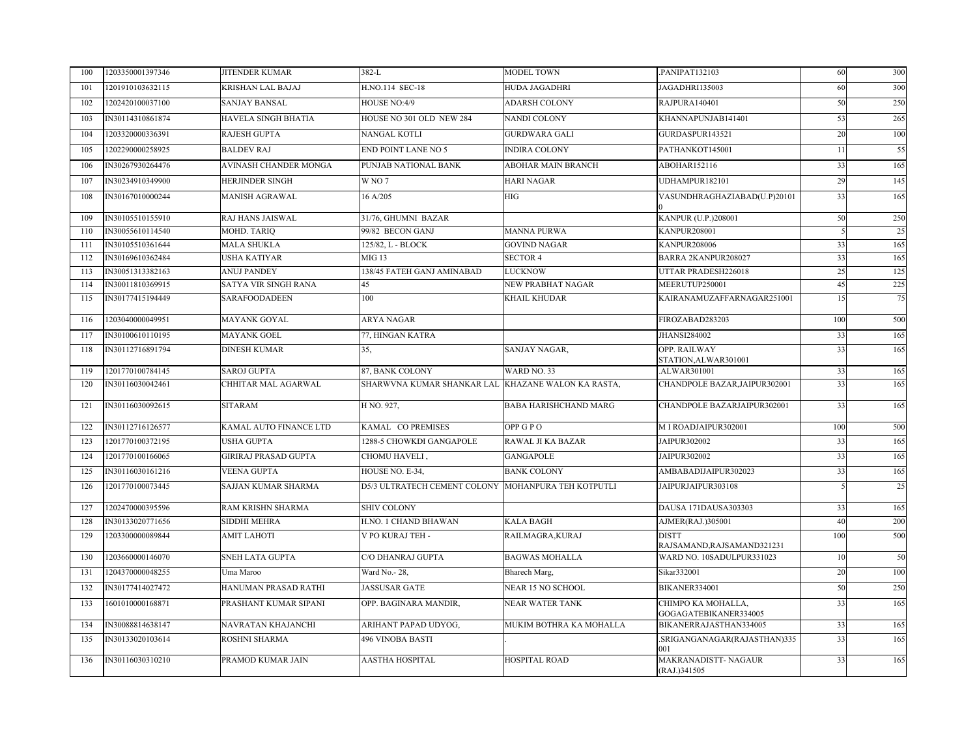| 100 | 1203350001397346 | <b>JITENDER KUMAR</b>  | 382-L                                               | MODEL TOWN                   | .PANIPAT132103                              | 60  | 300 |
|-----|------------------|------------------------|-----------------------------------------------------|------------------------------|---------------------------------------------|-----|-----|
| 101 | 1201910103632115 | KRISHAN LAL BAJAJ      | H.NO.114 SEC-18                                     | HUDA JAGADHRI                | JAGADHRI135003                              | 60  | 300 |
| 102 | 1202420100037100 | <b>SANJAY BANSAL</b>   | HOUSE NO:4/9                                        | <b>ADARSH COLONY</b>         | RAJPURA140401                               | 50  | 250 |
| 103 | IN30114310861874 | HAVELA SINGH BHATIA    | HOUSE NO 301 OLD NEW 284                            | <b>NANDI COLONY</b>          | KHANNAPUNJAB141401                          | 53  | 265 |
| 104 | 1203320000336391 | <b>RAJESH GUPTA</b>    | NANGAL KOTLI                                        | <b>GURDWARA GALI</b>         | GURDASPUR143521                             | 20  | 100 |
| 105 | 1202290000258925 | <b>BALDEV RAJ</b>      | <b>END POINT LANE NO 5</b>                          | <b>INDIRA COLONY</b>         | PATHANKOT145001                             | 11  | 55  |
| 106 | IN30267930264476 | AVINASH CHANDER MONGA  | PUNJAB NATIONAL BANK                                | <b>ABOHAR MAIN BRANCH</b>    | ABOHAR152116                                | 33  | 165 |
| 107 | IN30234910349900 | <b>HERJINDER SINGH</b> | W <sub>NO7</sub>                                    | <b>HARI NAGAR</b>            | UDHAMPUR182101                              | 29  | 145 |
| 108 | IN30167010000244 | MANISH AGRAWAL         | 16 A/205                                            | HIG                          | VASUNDHRAGHAZIABAD(U.P)20101                | 33  | 165 |
| 109 | IN30105510155910 | RAJ HANS JAISWAL       | 31/76, GHUMNI BAZAR                                 |                              | KANPUR (U.P.)208001                         | 50  | 250 |
| 110 | IN30055610114540 | <b>MOHD. TARIQ</b>     | 99/82 BECON GANJ                                    | <b>MANNA PURWA</b>           | <b>KANPUR208001</b>                         |     | 25  |
| 111 | IN30105510361644 | <b>MALA SHUKLA</b>     | 125/82, L - BLOCK                                   | <b>GOVIND NAGAR</b>          | KANPUR208006                                | 33  | 165 |
| 112 | IN30169610362484 | USHA KATIYAR           | <b>MIG 13</b>                                       | <b>SECTOR 4</b>              | BARRA 2KANPUR208027                         | 33  | 165 |
| 113 | IN30051313382163 | <b>ANUJ PANDEY</b>     | 138/45 FATEH GANJ AMINABAD                          | <b>LUCKNOW</b>               | UTTAR PRADESH226018                         | 25  | 125 |
| 114 | IN30011810369915 | SATYA VIR SINGH RANA   | 45                                                  | NEW PRABHAT NAGAR            | MEERUTUP250001                              | 45  | 225 |
| 115 | IN30177415194449 | SARAFOODADEEN          | 100                                                 | KHAIL KHUDAR                 | KAIRANAMUZAFFARNAGAR251001                  | 1.5 | 75  |
| 116 | 1203040000049951 | MAYANK GOYAL           | ARYA NAGAR                                          |                              | FIROZABAD283203                             | 100 | 500 |
| 117 | IN30100610110195 | MAYANK GOEL            | 77, HINGAN KATRA                                    |                              | <b>JHANSI284002</b>                         | 33  | 165 |
| 118 | IN30112716891794 | <b>DINESH KUMAR</b>    | 35,                                                 | SANJAY NAGAR,                | OPP. RAILWAY<br>STATION, ALWAR301001        | 33  | 165 |
| 119 | 1201770100784145 | <b>SAROJ GUPTA</b>     | 87. BANK COLONY                                     | WARD NO. 33                  | ALWAR301001                                 | 33  | 165 |
| 120 | IN30116030042461 | CHHITAR MAL AGARWAL    | SHARWVNA KUMAR SHANKAR LAL KHAZANE WALON KA RASTA,  |                              | CHANDPOLE BAZAR, JAIPUR302001               | 33  | 165 |
| 121 | IN30116030092615 | <b>SITARAM</b>         | H NO. 927,                                          | <b>BABA HARISHCHAND MARG</b> | CHANDPOLE BAZARJAIPUR302001                 | 33  | 165 |
| 122 | IN30112716126577 | KAMAL AUTO FINANCE LTD | KAMAL CO PREMISES                                   | OPP GPO                      | MIROADJAIPUR302001                          | 100 | 500 |
| 123 | 1201770100372195 | USHA GUPTA             | 1288-5 CHOWKDI GANGAPOLE                            | RAWAL JI KA BAZAR            | JAIPUR302002                                | 33  | 165 |
| 124 | 1201770100166065 | GIRIRAJ PRASAD GUPTA   | CHOMU HAVELI.                                       | <b>GANGAPOLE</b>             | JAIPUR302002                                | 33  | 165 |
| 125 | IN30116030161216 | <b>VEENA GUPTA</b>     | HOUSE NO. E-34,                                     | <b>BANK COLONY</b>           | AMBABADIJAIPUR302023                        | 33  | 165 |
| 126 | 1201770100073445 | SAJJAN KUMAR SHARMA    | D5/3 ULTRATECH CEMENT COLONY MOHANPURA TEH KOTPUTLI |                              | JAIPURJAIPUR303108                          |     | 25  |
| 127 | 1202470000395596 | RAM KRISHN SHARMA      | <b>SHIV COLONY</b>                                  |                              | DAUSA 171DAUSA303303                        | 33  | 165 |
| 128 | IN30133020771656 | SIDDHI MEHRA           | H.NO. 1 CHAND BHAWAN                                | <b>KALA BAGH</b>             | AJMER(RAJ.)305001                           | 40  | 200 |
| 129 | 1203300000089844 | <b>AMIT LAHOTI</b>     | V PO KURAJ TEH -                                    | RAILMAGRA, KURAJ             | <b>DISTT</b><br>RAJSAMAND, RAJSAMAND321231  | 100 | 500 |
| 130 | 1203660000146070 | SNEH LATA GUPTA        | C/O DHANRAJ GUPTA                                   | <b>BAGWAS MOHALLA</b>        | WARD NO. 10SADULPUR331023                   | 10  | 50  |
| 131 | 1204370000048255 | Uma Maroo              | Ward No.- 28,                                       | Bharech Marg,                | Sikar332001                                 | 20  | 100 |
| 132 | IN30177414027472 | HANUMAN PRASAD RATHI   | <b>JASSUSAR GATE</b>                                | <b>NEAR 15 NO SCHOOL</b>     | BIKANER334001                               | 50  | 250 |
| 133 | 1601010000168871 | PRASHANT KUMAR SIPANI  | OPP. BAGINARA MANDIR,                               | <b>NEAR WATER TANK</b>       | CHIMPO KA MOHALLA,<br>GOGAGATEBIKANER334005 | 33  | 165 |
| 134 | IN30088814638147 | NAVRATAN KHAJANCHI     | ARIHANT PAPAD UDYOG,                                | MUKIM BOTHRA KA MOHALLA      | BIKANERRAJASTHAN334005                      | 33  | 165 |
| 135 | IN30133020103614 | ROSHNI SHARMA          | <b>496 VINOBA BASTI</b>                             |                              | SRIGANGANAGAR(RAJASTHAN)335<br>001          | 33  | 165 |
| 136 | IN30116030310210 | PRAMOD KUMAR JAIN      | <b>AASTHA HOSPITAL</b>                              | HOSPITAL ROAD                | <b>MAKRANADISTT- NAGAUR</b><br>(RAJ.)341505 | 33  | 165 |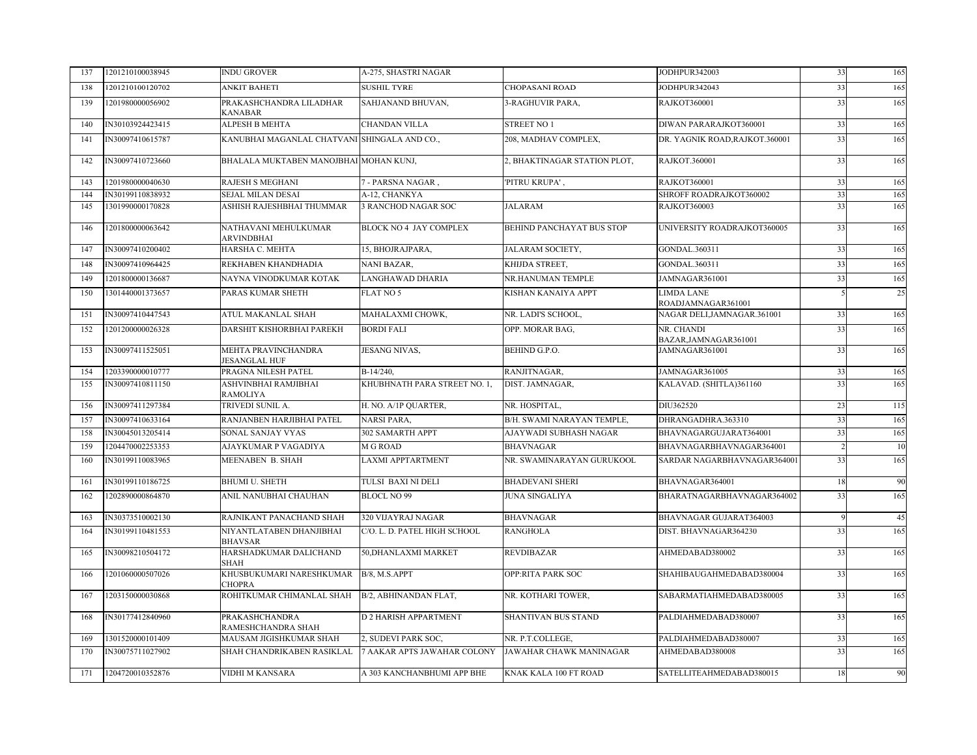| 137 | 1201210100038945 | INDU GROVER                                  | A-275, SHASTRI NAGAR         |                                | JODHPUR342003                       | 33 | 165 |
|-----|------------------|----------------------------------------------|------------------------------|--------------------------------|-------------------------------------|----|-----|
| 138 | 1201210100120702 | ANKIT BAHETI                                 | <b>SUSHIL TYRE</b>           | <b>CHOPASANI ROAD</b>          | JODHPUR342043                       | 33 | 165 |
| 139 | 1201980000056902 | PRAKASHCHANDRA LILADHAR<br>KANABAR           | SAHJANAND BHUVAN.            | 3-RAGHUVIR PARA,               | <b>RAJKOT360001</b>                 | 33 | 165 |
| 140 | IN30103924423415 | ALPESH B MEHTA                               | <b>CHANDAN VILLA</b>         | <b>STREET NO 1</b>             | DIWAN PARARAJKOT360001              | 33 | 165 |
| 141 | IN30097410615787 | KANUBHAI MAGANLAL CHATVANI SHINGALA AND CO., |                              | 208, MADHAV COMPLEX,           | DR. YAGNIK ROAD, RAJKOT.360001      | 33 | 165 |
| 142 | IN30097410723660 | BHALALA MUKTABEN MANOJBHAI MOHAN KUNJ,       |                              | 2, BHAKTINAGAR STATION PLOT,   | RAJKOT.360001                       | 33 | 165 |
| 143 | 1201980000040630 | RAJESH S MEGHANI                             | 7 - PARSNA NAGAR,            | 'PITRU KRUPA',                 | RAJKOT360001                        | 33 | 165 |
| 144 | IN30199110838932 | <b>SEJAL MILAN DESAI</b>                     | A-12, CHANKYA                |                                | SHROFF ROADRAJKOT360002             | 33 | 165 |
| 145 | 1301990000170828 | ASHISH RAJESHBHAI THUMMAR                    | 3 RANCHOD NAGAR SOC          | <b>JALARAM</b>                 | RAJKOT360003                        | 33 | 165 |
| 146 | 1201800000063642 | NATHAVANI MEHULKUMAR<br>ARVINDBHAI           | BLOCK NO 4 JAY COMPLEX       | BEHIND PANCHAYAT BUS STOP      | UNIVERSITY ROADRAJKOT360005         | 33 | 165 |
| 147 | IN30097410200402 | HARSHA C. MEHTA                              | 15, BHOJRAJPARA.             | JALARAM SOCIETY,               | GONDAL.360311                       | 33 | 165 |
| 148 | IN30097410964425 | REKHABEN KHANDHADIA                          | NANI BAZAR.                  | KHIJDA STREET,                 | GONDAL.360311                       | 33 | 165 |
| 149 | 1201800000136687 | NAYNA VINODKUMAR KOTAK                       | LANGHAWAD DHARIA             | NR.HANUMAN TEMPLE              | JAMNAGAR361001                      | 33 | 165 |
| 150 | 1301440001373657 | PARAS KUMAR SHETH                            | FLAT NO 5                    | KISHAN KANAIYA APPT            | LIMDA LANE<br>ROADJAMNAGAR361001    |    | 25  |
| 151 | IN30097410447543 | ATUL MAKANLAL SHAH                           | MAHALAXMI CHOWK,             | NR. LADI'S SCHOOL,             | NAGAR DELI, JAMNAGAR. 361001        | 33 | 165 |
| 152 | 1201200000026328 | DARSHIT KISHORBHAI PAREKH                    | <b>BORDI FALI</b>            | OPP. MORAR BAG,                | NR. CHANDI<br>BAZAR, JAMNAGAR361001 | 33 | 165 |
| 153 | IN30097411525051 | MEHTA PRAVINCHANDRA<br>JESANGLAL HUF         | JESANG NIVAS,                | BEHIND G.P.O.                  | JAMNAGAR361001                      | 33 | 165 |
| 154 | 1203390000010777 | PRAGNA NILESH PATEL                          | $B-14/240$ ,                 | RANJITNAGAR.                   | JAMNAGAR361005                      | 33 | 165 |
| 155 | IN30097410811150 | ASHVINBHAI RAMJIBHAI<br>RAMOLIYA             | KHUBHNATH PARA STREET NO. 1, | DIST. JAMNAGAR,                | KALAVAD. (SHITLA)361160             | 33 | 165 |
| 156 | IN30097411297384 | TRIVEDI SUNIL A.                             | H. NO. A/1P QUARTER,         | NR. HOSPITAL,                  | DIU362520                           | 23 | 115 |
| 157 | IN30097410633164 | RANJANBEN HARJIBHAI PATEL                    | NARSI PARA,                  | B/H. SWAMI NARAYAN TEMPLE,     | DHRANGADHRA.363310                  | 33 | 165 |
| 158 | IN30045013205414 | SONAL SANJAY VYAS                            | <b>302 SAMARTH APPT</b>      | AJAYWADI SUBHASH NAGAR         | BHAVNAGARGUJARAT364001              | 33 | 165 |
| 159 | 1204470002253353 | AJAYKUMAR P VAGADIYA                         | M G ROAD                     | <b>BHAVNAGAR</b>               | BHAVNAGARBHAVNAGAR364001            |    | 10  |
| 160 | IN30199110083965 | MEENABEN B. SHAH                             | <b>LAXMI APPTARTMENT</b>     | NR. SWAMINARAYAN GURUKOOL      | SARDAR NAGARBHAVNAGAR364001         | 33 | 165 |
| 161 | IN30199110186725 | <b>BHUMI U. SHETH</b>                        | TULSI BAXI NI DELI           | <b>BHADEVANI SHERI</b>         | BHAVNAGAR364001                     | 18 | 90  |
| 162 | 1202890000864870 | ANIL NANUBHAI CHAUHAN                        | <b>BLOCL NO 99</b>           | <b>JUNA SINGALIYA</b>          | BHARATNAGARBHAVNAGAR364002          | 33 | 165 |
| 163 | IN30373510002130 | RAJNIKANT PANACHAND SHAH                     | 320 VIJAYRAJ NAGAR           | <b>BHAVNAGAR</b>               | BHAVNAGAR GUJARAT364003             |    | 45  |
| 164 | IN30199110481553 | NIYANTLATABEN DHANJIBHAI<br>BHAVSAR          | C/O. L. D. PATEL HIGH SCHOOL | <b>RANGHOLA</b>                | DIST. BHAVNAGAR364230               | 33 | 165 |
| 165 | IN30098210504172 | HARSHADKUMAR DALICHAND<br>SHAH               | 50, DHANLAXMI MARKET         | <b>REVDIBAZAR</b>              | AHMEDABAD380002                     | 33 | 165 |
| 166 | 1201060000507026 | KHUSBUKUMARI NARESHKUMAR<br><b>CHOPRA</b>    | B/8, M.S.APPT                | OPP:RITA PARK SOC              | SHAHIBAUGAHMEDABAD380004            | 33 | 165 |
| 167 | 1203150000030868 | ROHITKUMAR CHIMANLAL SHAH                    | B/2, ABHINANDAN FLAT,        | NR. KOTHARI TOWER,             | SABARMATIAHMEDABAD380005            | 33 | 165 |
| 168 | IN30177412840960 | <b>PRAKASHCHANDRA</b><br>RAMESHCHANDRA SHAH  | D 2 HARISH APPARTMENT        | <b>SHANTIVAN BUS STAND</b>     | PALDIAHMEDABAD380007                | 33 | 165 |
| 169 | 1301520000101409 | MAUSAM JIGISHKUMAR SHAH                      | 2, SUDEVI PARK SOC,          | NR. P.T.COLLEGE,               | PALDIAHMEDABAD380007                | 33 | 165 |
| 170 | IN30075711027902 | SHAH CHANDRIKABEN RASIKLAL                   | 7 AAKAR APTS JAWAHAR COLONY  | <b>JAWAHAR CHAWK MANINAGAR</b> | AHMEDABAD380008                     | 33 | 165 |
| 171 | 1204720010352876 | VIDHI M KANSARA                              | A 303 KANCHANBHUMI APP BHE   | KNAK KALA 100 FT ROAD          | SATELLITEAHMEDABAD380015            | 18 | 90  |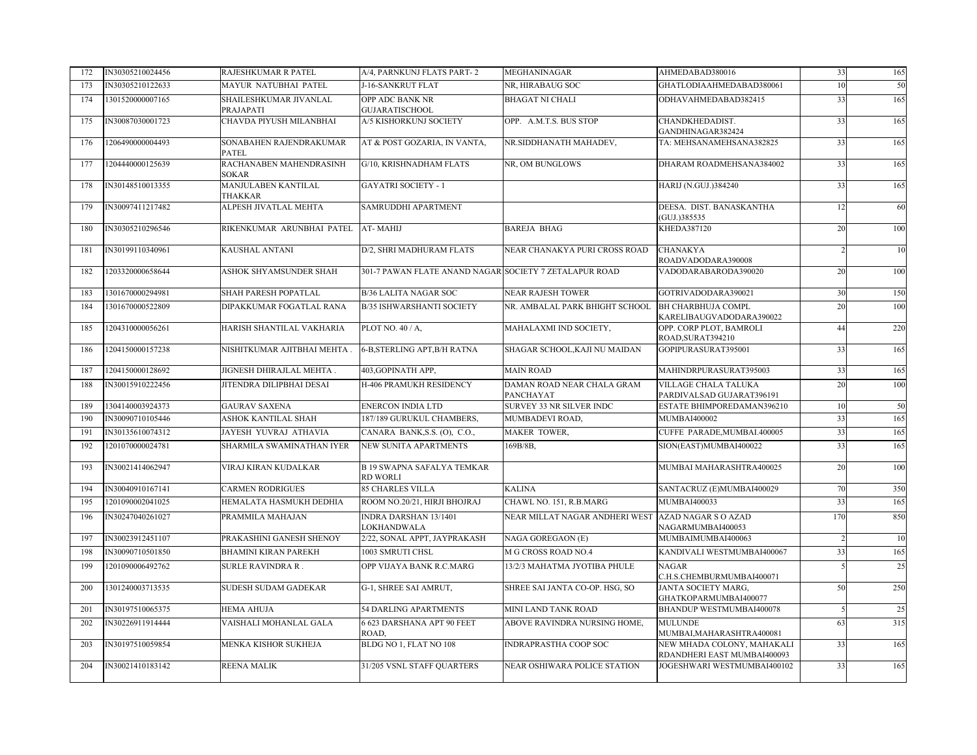| 172 | IN30305210024456 | RAJESHKUMAR R PATEL                     | A/4, PARNKUNJ FLATS PART-2                             | MEGHANINAGAR                            | AHMEDABAD380016                                           | 33  | 165 |
|-----|------------------|-----------------------------------------|--------------------------------------------------------|-----------------------------------------|-----------------------------------------------------------|-----|-----|
| 173 | IN30305210122633 | MAYUR NATUBHAI PATEL                    | J-16-SANKRUT FLAT                                      | NR, HIRABAUG SOC                        | GHATLODIAAHMEDABAD380061                                  | 10  | 50  |
| 174 | 1301520000007165 | SHAILESHKUMAR JIVANLAL<br>PRAJAPATI     | OPP ADC BANK NR<br><b>GUJARATISCHOOL</b>               | <b>BHAGAT NI CHALI</b>                  | ODHAVAHMEDABAD382415                                      | 33  | 165 |
| 175 | IN30087030001723 | CHAVDA PIYUSH MILANBHAI                 | A/5 KISHORKUNJ SOCIETY                                 | OPP. A.M.T.S. BUS STOP                  | CHANDKHEDADIST.<br>GANDHINAGAR382424                      | 33  | 165 |
| 176 | 1206490000004493 | SONABAHEN RAJENDRAKUMAR<br>PATEL        | AT & POST GOZARIA, IN VANTA,                           | NR.SIDDHANATH MAHADEV,                  | TA: MEHSANAMEHSANA382825                                  | 33  | 165 |
| 177 | 1204440000125639 | RACHANABEN MAHENDRASINH<br><b>SOKAR</b> | G/10, KRISHNADHAM FLATS                                | NR, OM BUNGLOWS                         | DHARAM ROADMEHSANA384002                                  | 33  | 165 |
| 178 | IN30148510013355 | MANJULABEN KANTILAL<br>THAKKAR          | <b>GAYATRI SOCIETY - 1</b>                             |                                         | <b>HARIJ (N.GUJ.)384240</b>                               | 33  | 165 |
| 179 | IN30097411217482 | ALPESH JIVATLAL MEHTA                   | SAMRUDDHI APARTMENT                                    |                                         | DEESA. DIST. BANASKANTHA<br>(GUJ.)385535                  | 12  | 60  |
| 180 | IN30305210296546 | RIKENKUMAR ARUNBHAI PATEL               | AT-MAHIJ                                               | <b>BAREJA BHAG</b>                      | KHEDA387120                                               | 20  | 100 |
| 181 | IN30199110340961 | KAUSHAL ANTANI                          | D/2, SHRI MADHURAM FLATS                               | NEAR CHANAKYA PURI CROSS ROAD           | CHANAKYA<br>ROADVADODARA390008                            |     | 10  |
| 182 | 1203320000658644 | <b>ASHOK SHYAMSUNDER SHAH</b>           | 301-7 PAWAN FLATE ANAND NAGAR SOCIETY 7 ZETALAPUR ROAD |                                         | VADODARABARODA390020                                      | 20  | 100 |
| 183 | 1301670000294981 | SHAH PARESH POPATLAL                    | <b>B/36 LALITA NAGAR SOC</b>                           | <b>NEAR RAJESH TOWER</b>                | GOTRIVADODARA390021                                       | 30  | 150 |
| 184 | 1301670000522809 | DIPAKKUMAR FOGATLAL RANA                | <b>B/35 ISHWARSHANTI SOCIETY</b>                       | NR. AMBALAL PARK BHIGHT SCHOOL          | <b>BH CHARBHUJA COMPL</b><br>KARELIBAUGVADODARA390022     | 20  | 100 |
| 185 | 1204310000056261 | HARISH SHANTILAL VAKHARIA               | PLOT NO. 40 / A.                                       | MAHALAXMI IND SOCIETY,                  | OPP. CORP PLOT, BAMROLI<br>ROAD, SURAT394210              | 44  | 220 |
| 186 | 1204150000157238 | NISHITKUMAR AJITBHAI MEHTA .            | 6-B, STERLING APT, B/H RATNA                           | SHAGAR SCHOOL, KAJI NU MAIDAN           | GOPIPURASURAT395001                                       | 33  | 165 |
| 187 | 1204150000128692 | JIGNESH DHIRAJLAL MEHTA.                | 403.GOPINATH APP.                                      | <b>MAIN ROAD</b>                        | MAHINDRPURASURAT395003                                    | 33  | 165 |
| 188 | IN30015910222456 | JITENDRA DILIPBHAI DESAI                | H-406 PRAMUKH RESIDENCY                                | DAMAN ROAD NEAR CHALA GRAM<br>PANCHAYAT | VILLAGE CHALA TALUKA<br>PARDIVALSAD GUJARAT396191         | 20  | 100 |
| 189 | 1304140003924373 | <b>GAURAV SAXENA</b>                    | <b>ENERCON INDIA LTD</b>                               | SURVEY 33 NR SILVER INDC                | ESTATE BHIMPOREDAMAN396210                                | 10  | 50  |
| 190 | IN30090710105446 | ASHOK KANTILAL SHAH                     | 187/189 GURUKUL CHAMBERS,                              | MUMBADEVI ROAD,                         | MUMBAI400002                                              | 33  | 165 |
| 191 | IN30135610074312 | JAYESH YUVRAJ ATHAVIA                   | CANARA BANK, S.S. (O), C.O.,                           | <b>MAKER TOWER,</b>                     | CUFFE PARADE, MUMBAI.400005                               | 33  | 165 |
| 192 | 1201070000024781 | SHARMILA SWAMINATHAN IYER               | NEW SUNITA APARTMENTS                                  | 169B/8B,                                | SION(EAST)MUMBAI400022                                    | 33  | 165 |
| 193 | IN30021414062947 | VIRAJ KIRAN KUDALKAR                    | <b>B 19 SWAPNA SAFALYA TEMKAR</b><br>RD WORLI          |                                         | MUMBAI MAHARASHTRA400025                                  | 20  | 100 |
| 194 | IN30040910167141 | CARMEN RODRIGUES                        | <b>85 CHARLES VILLA</b>                                | <b>KALINA</b>                           | SANTACRUZ (E)MUMBAI400029                                 | 70  | 350 |
| 195 | 1201090002041025 | HEMALATA HASMUKH DEDHIA                 | ROOM NO.20/21, HIRJI BHOJRAJ                           | CHAWL NO. 151, R.B.MARG                 | MUMBAI400033                                              | 33  | 165 |
| 196 | IN30247040261027 | PRAMMILA MAHAJAN                        | <b>INDRA DARSHAN 13/1401</b><br>LOKHANDWALA            | NEAR MILLAT NAGAR ANDHERI WEST          | <b>AZAD NAGAR S O AZAD</b><br>NAGARMUMBAI400053           | 170 | 850 |
| 197 | IN30023912451107 | PRAKASHINI GANESH SHENOY                | 2/22, SONAL APPT, JAYPRAKASH                           | <b>NAGA GOREGAON (E)</b>                | MUMBAIMUMBAI400063                                        |     | 10  |
| 198 | IN30090710501850 | <b>BHAMINI KIRAN PAREKH</b>             | 1003 SMRUTI CHSL                                       | M G CROSS ROAD NO.4                     | KANDIVALI WESTMUMBAI400067                                | 33  | 165 |
| 199 | 1201090006492762 | SURLE RAVINDRA R.                       | OPP VIJAYA BANK R.C.MARG                               | 13/2/3 MAHATMA JYOTIBA PHULE            | <b>NAGAR</b><br>C.H.S.CHEMBURMUMBAI400071                 |     | 25  |
| 200 | 1301240003713535 | SUDESH SUDAM GADEKAR                    | G-1, SHREE SAI AMRUT,                                  | SHREE SAI JANTA CO-OP. HSG, SO          | JANTA SOCIETY MARG,<br>GHATKOPARMUMBAI400077              | 50  | 250 |
| 201 | IN30197510065375 | HEMA AHUJA                              | <b>54 DARLING APARTMENTS</b>                           | MINI LAND TANK ROAD                     | BHANDUP WESTMUMBAI400078                                  |     | 25  |
| 202 | IN30226911914444 | VAISHALI MOHANLAL GALA                  | 6 623 DARSHANA APT 90 FEET<br>ROAD.                    | ABOVE RAVINDRA NURSING HOME,            | <b>MULUNDE</b><br>MUMBAI, MAHARASHTRA400081               | 63  | 315 |
| 203 | IN30197510059854 | MENKA KISHOR SUKHEJA                    | BLDG NO 1, FLAT NO 108                                 | <b>INDRAPRASTHA COOP SOC</b>            | NEW MHADA COLONY, MAHAKALI<br>RDANDHERI EAST MUMBAI400093 | 33  | 165 |
| 204 | IN30021410183142 | REENA MALIK                             | 31/205 VSNL STAFF QUARTERS                             | NEAR OSHIWARA POLICE STATION            | JOGESHWARI WESTMUMBAI400102                               | 33  | 165 |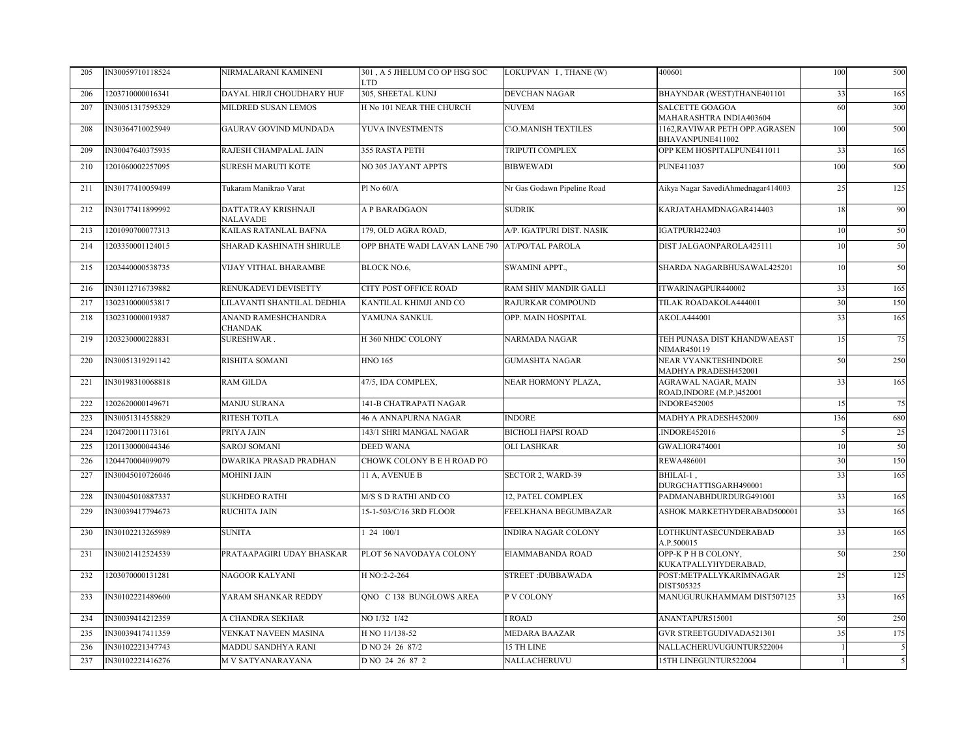| 205 | IN30059710118524 | NIRMALARANI KAMINENI                   | 301, A 5 JHELUM CO OP HSG SOC<br><b>LTD</b> | LOKUPVAN I, THANE (W)        | 400601                                                   | 100 | 500 |
|-----|------------------|----------------------------------------|---------------------------------------------|------------------------------|----------------------------------------------------------|-----|-----|
| 206 | 1203710000016341 | DAYAL HIRJI CHOUDHARY HUF              | 305, SHEETAL KUNJ                           | <b>DEVCHAN NAGAR</b>         | BHAYNDAR (WEST)THANE401101                               | 33  | 165 |
| 207 | IN30051317595329 | MILDRED SUSAN LEMOS                    | H No 101 NEAR THE CHURCH                    | <b>NUVEM</b>                 | SALCETTE GOAGOA<br>MAHARASHTRA INDIA403604               | 60  | 300 |
| 208 | IN30364710025949 | <b>GAURAV GOVIND MUNDADA</b>           | YUVA INVESTMENTS                            | <b>C\O.MANISH TEXTILES</b>   | 1162, RAVIWAR PETH OPP. AGRASEN<br>BHAVANPUNE411002      | 100 | 500 |
| 209 | IN30047640375935 | RAJESH CHAMPALAL JAIN                  | 355 RASTA PETH                              | <b>TRIPUTI COMPLEX</b>       | OPP KEM HOSPITALPUNE411011                               | 33  | 165 |
| 210 | 1201060002257095 | <b>SURESH MARUTI KOTE</b>              | <b>NO 305 JAYANT APPTS</b>                  | <b>BIBWEWADI</b>             | <b>PUNE411037</b>                                        | 100 | 500 |
| 211 | IN30177410059499 | Tukaram Manikrao Varat                 | Pl No 60/A                                  | Nr Gas Godawn Pipeline Road  | Aikya Nagar SavediAhmednagar414003                       | 25  | 125 |
| 212 | IN30177411899992 | DATTATRAY KRISHNAJI<br><b>NALAVADE</b> | A P BARADGAON                               | <b>SUDRIK</b>                | KARJATAHAMDNAGAR414403                                   |     | 90  |
| 213 | 1201090700077313 | KAILAS RATANLAL BAFNA                  | 179, OLD AGRA ROAD,                         | A/P. IGATPURI DIST. NASIK    | IGATPURI422403                                           | 10  | 50  |
| 214 | 1203350001124015 | SHARAD KASHINATH SHIRULE               | OPP BHATE WADI LAVAN LANE 790               | <b>AT/PO/TAL PAROLA</b>      | DIST JALGAONPAROLA425111                                 | 10  | 50  |
| 215 | 1203440000538735 | <b>VIJAY VITHAL BHARAMBE</b>           | <b>BLOCK NO.6.</b>                          | <b>SWAMINI APPT</b>          | SHARDA NAGARBHUSAWAL425201                               | 10  | 50  |
| 216 | IN30112716739882 | RENUKADEVI DEVISETTY                   | <b>CITY POST OFFICE ROAD</b>                | <b>RAM SHIV MANDIR GALLI</b> | ITWARINAGPUR440002                                       | 33  | 165 |
| 217 | 1302310000053817 | LILAVANTI SHANTILAL DEDHIA             | KANTILAL KHIMJI AND CO                      | RAJURKAR COMPOUND            | TILAK ROADAKOLA444001                                    | 30  | 150 |
| 218 | 1302310000019387 | ANAND RAMESHCHANDRA<br><b>CHANDAK</b>  | YAMUNA SANKUL                               | OPP. MAIN HOSPITAL           | <b>AKOLA444001</b>                                       | 33  | 165 |
| 219 | 1203230000228831 | SURESHWAR.                             | H 360 NHDC COLONY                           | <b>NARMADA NAGAR</b>         | TEH PUNASA DIST KHANDWAEAST<br>NIMAR450119               | 15  | 75  |
| 220 | IN30051319291142 | RISHITA SOMANI                         | <b>HNO 165</b>                              | <b>GUMASHTA NAGAR</b>        | NEAR VYANKTESHINDORE<br>MADHYA PRADESH452001             | 50  | 250 |
| 221 | IN30198310068818 | RAM GILDA                              | 47/5, IDA COMPLEX,                          | NEAR HORMONY PLAZA,          | <b>AGRAWAL NAGAR, MAIN</b><br>ROAD, INDORE (M.P.) 452001 | 33  | 165 |
| 222 | 1202620000149671 | <b>MANJU SURANA</b>                    | 141-B CHATRAPATI NAGAR                      |                              | <b>INDORE452005</b>                                      | 15  | 75  |
| 223 | IN30051314558829 | <b>RITESH TOTLA</b>                    | <b>46 A ANNAPURNA NAGAR</b>                 | <b>INDORE</b>                | MADHYA PRADESH452009                                     | 136 | 680 |
| 224 | 1204720011173161 | PRIYA JAIN                             | 143/1 SHRI MANGAL NAGAR                     | <b>BICHOLI HAPSI ROAD</b>    | INDORE452016                                             |     | 25  |
| 225 | 1201130000044346 | <b>SAROJ SOMANI</b>                    | <b>DEED WANA</b>                            | <b>OLI LASHKAR</b>           | GWALIOR474001                                            | 10  | 50  |
| 226 | 1204470004099079 | DWARIKA PRASAD PRADHAN                 | CHOWK COLONY B E H ROAD PO                  |                              | <b>REWA486001</b>                                        | 30  | 150 |
| 227 | IN30045010726046 | MOHINI JAIN                            | 11 A, AVENUE B                              | SECTOR 2, WARD-39            | BHILAI-1,<br>DURGCHATTISGARH490001                       | 33  | 165 |
| 228 | IN30045010887337 | <b>SUKHDEO RATHI</b>                   | M/S S D RATHI AND CO                        | 12, PATEL COMPLEX            | PADMANABHDURDURG491001                                   | 33  | 165 |
| 229 | IN30039417794673 | RUCHITA JAIN                           | 15-1-503/C/16 3RD FLOOR                     | FEELKHANA BEGUMBAZAR         | ASHOK MARKETHYDERABAD500001                              | 33  | 165 |
| 230 | IN30102213265989 | <b>SUNITA</b>                          | 1 24 100/1                                  | <b>INDIRA NAGAR COLONY</b>   | LOTHKUNTASECUNDERABAD<br>A.P.500015                      | 33  | 165 |
| 231 | IN30021412524539 | PRATAAPAGIRI UDAY BHASKAR              | PLOT 56 NAVODAYA COLONY                     | EIAMMABANDA ROAD             | OPP-K P H B COLONY,<br>KUKATPALLYHYDERABAD,              | 50  | 250 |
| 232 | 1203070000131281 | NAGOOR KALYANI                         | H NO:2-2-264                                | <b>STREET: DUBBAWADA</b>     | POST:METPALLYKARIMNAGAR<br>DIST505325                    | 25  | 125 |
| 233 | IN30102221489600 | YARAM SHANKAR REDDY                    | QNO C 138 BUNGLOWS AREA                     | P V COLONY                   | MANUGURUKHAMMAM DIST507125                               | 33  | 165 |
| 234 | IN30039414212359 | A CHANDRA SEKHAR                       | NO 1/32 1/42                                | <b>I ROAD</b>                | ANANTAPUR515001                                          | 50  | 250 |
| 235 | IN30039417411359 | VENKAT NAVEEN MASINA                   | H NO 11/138-52                              | <b>MEDARA BAAZAR</b>         | GVR STREETGUDIVADA521301                                 | 35  | 175 |
| 236 | IN30102221347743 | MADDU SANDHYA RANI                     | D NO 24 26 87/2                             | 15 TH LINE                   | NALLACHERUVUGUNTUR522004                                 |     | 5   |
| 237 | IN30102221416276 | M V SATYANARAYANA                      | D NO 24 26 87 2                             | NALLACHERUVU                 | 15TH LINEGUNTUR522004                                    |     | 5   |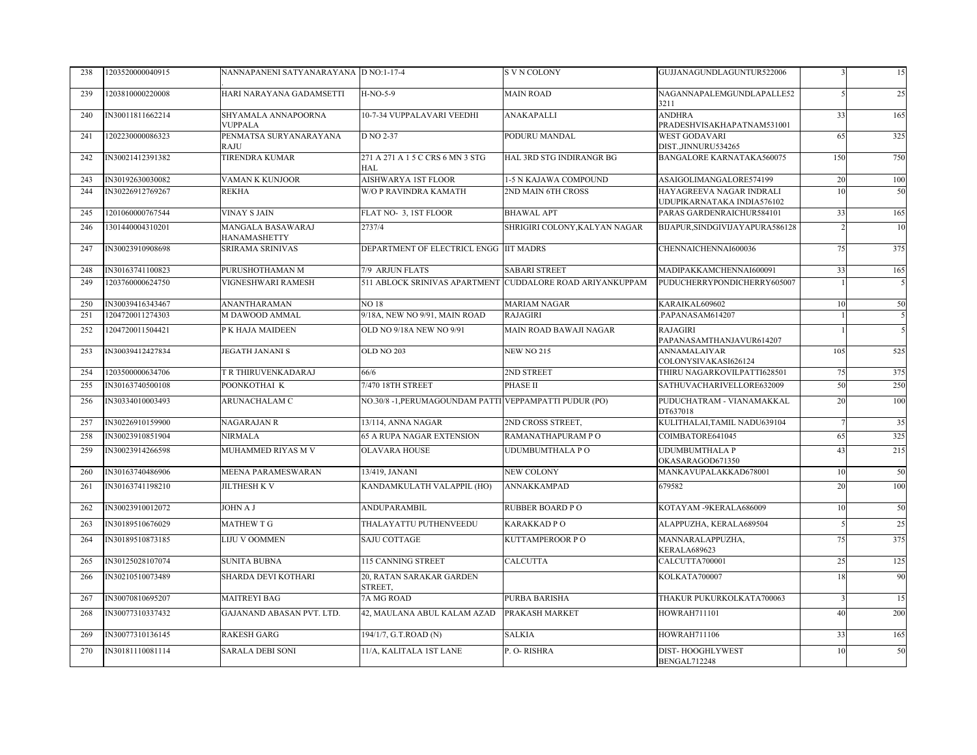| 238 | 1203520000040915 | NANNAPANENI SATYANARAYANA D NO:1-17-4 |                                                        | <b>SVN COLONY</b>                                         | GUJJANAGUNDLAGUNTUR522006                              |     | 15  |
|-----|------------------|---------------------------------------|--------------------------------------------------------|-----------------------------------------------------------|--------------------------------------------------------|-----|-----|
| 239 | 1203810000220008 | HARI NARAYANA GADAMSETTI              | H-NO-5-9                                               | <b>MAIN ROAD</b>                                          | NAGANNAPALEMGUNDLAPALLE52<br>3211                      |     | 25  |
| 240 | IN30011811662214 | SHYAMALA ANNAPOORNA<br><b>VUPPALA</b> | 10-7-34 VUPPALAVARI VEEDHI                             | ANAKAPALLI                                                | ANDHRA<br>PRADESHVISAKHAPATNAM531001                   | 33  | 165 |
| 241 | 1202230000086323 | PENMATSA SURYANARAYANA<br>RAJU        | D NO 2-37                                              | PODURU MANDAL                                             | <b>WEST GODAVARI</b><br>DIST.,JINNURU534265            | 65  | 325 |
| 242 | IN30021412391382 | TIRENDRA KUMAR                        | 271 A 271 A 1 5 C CRS 6 MN 3 STG<br>HAL                | HAL 3RD STG INDIRANGR BG                                  | <b>BANGALORE KARNATAKA560075</b>                       | 150 | 750 |
| 243 | IN30192630030082 | VAMAN K KUNJOOR                       | AISHWARYA 1ST FLOOR                                    | 1-5 N KAJAWA COMPOUND                                     | ASAIGOLIMANGALORE574199                                | 20  | 100 |
| 244 | IN30226912769267 | <b>REKHA</b>                          | <b>W/O P RAVINDRA KAMATH</b>                           | 2ND MAIN 6TH CROSS                                        | HAYAGREEVA NAGAR INDRALI<br>UDUPIKARNATAKA INDIA576102 |     | 50  |
| 245 | 1201060000767544 | <b>VINAY S JAIN</b>                   | FLAT NO- 3, 1ST FLOOR                                  | <b>BHAWAL APT</b>                                         | PARAS GARDENRAICHUR584101                              | 33  | 165 |
| 246 | 1301440004310201 | MANGALA BASAWARAJ<br>HANAMASHETTY     | 2737/4                                                 | SHRIGIRI COLONY, KALYAN NAGAR                             | BIJAPUR, SINDGIVIJAY APURA586128                       |     | 10  |
| 247 | IN30023910908698 | <b>SRIRAMA SRINIVAS</b>               | DEPARTMENT OF ELECTRICL ENGG IIT MADRS                 |                                                           | CHENNAICHENNAI600036                                   | 75  | 375 |
| 248 | IN30163741100823 | PURUSHOTHAMAN M                       | 7/9 ARJUN FLATS                                        | <b>SABARI STREET</b>                                      | MADIPAKKAMCHENNAI600091                                | 33  | 165 |
| 249 | 1203760000624750 | VIGNESHWARI RAMESH                    |                                                        | 511 ABLOCK SRINIVAS APARTMENT CUDDALORE ROAD ARIYANKUPPAM | PUDUCHERRYPONDICHERRY605007                            |     |     |
| 250 | IN30039416343467 | <b>ANANTHARAMAN</b>                   | <b>NO18</b>                                            | <b>MARIAM NAGAR</b>                                       | KARAIKAL609602                                         | 10  | 50  |
| 251 | 1204720011274303 | M DAWOOD AMMAL                        | 9/18A, NEW NO 9/91, MAIN ROAD                          | <b>RAJAGIRI</b>                                           | PAPANASAM614207                                        |     | 5   |
| 252 | 1204720011504421 | P K HAJA MAIDEEN                      | OLD NO 9/18A NEW NO 9/91                               | MAIN ROAD BAWAJI NAGAR                                    | RAJAGIRI<br>PAPANASAMTHANJAVUR614207                   |     | 5   |
| 253 | IN30039412427834 | <b>JEGATH JANANI S</b>                | OLD NO 203                                             | NEW NO 215                                                | <b>ANNAMALAIYAR</b><br>COLONYSIVAKASI626124            | 105 | 525 |
| 254 | 1203500000634706 | T R THIRUVENKADARAJ                   | 66/6                                                   | 2ND STREET                                                | THIRU NAGARKOVILPATTI628501                            | 75  | 375 |
| 255 | IN30163740500108 | POONKOTHAI K                          | 7/470 18TH STREET                                      | PHASE II                                                  | SATHUVACHARIVELLORE632009                              | 50  | 250 |
| 256 | IN30334010003493 | ARUNACHALAM C                         | NO.30/8 -1, PERUMAGOUNDAM PATTI VEPPAMPATTI PUDUR (PO) |                                                           | PUDUCHATRAM - VIANAMAKKAL<br>DT637018                  | 20  | 100 |
| 257 | IN30226910159900 | NAGARAJAN R                           | 13/114, ANNA NAGAR                                     | 2ND CROSS STREET,                                         | KULITHALAI, TAMIL NADU639104                           |     | 35  |
| 258 | IN30023910851904 | NIRMALA                               | 65 A RUPA NAGAR EXTENSION                              | RAMANATHAPURAM PO                                         | COIMBATORE641045                                       | 65  | 325 |
| 259 | IN30023914266598 | MUHAMMED RIYAS M V                    | <b>OLAVARA HOUSE</b>                                   | <b>UDUMBUMTHALA PO</b>                                    | UDUMBUMTHALA P<br>OKASARAGOD671350                     | 43  | 215 |
| 260 | IN30163740486906 | <b>MEENA PARAMESWARAN</b>             | 13/419, JANANI                                         | NEW COLONY                                                | MANKAVUPALAKKAD678001                                  | 10  | 50  |
| 261 | IN30163741198210 | JILTHESH K V                          | KANDAMKULATH VALAPPIL (HO)                             | ANNAKKAMPAD                                               | 679582                                                 | 20  | 100 |
| 262 | IN30023910012072 | JOHN A J                              | ANDUPARAMBIL                                           | RUBBER BOARD PO                                           | KOTAYAM -9KERALA686009                                 | 10  | 50  |
| 263 | IN30189510676029 | MATHEW T G                            | THALAYATTU PUTHENVEEDU                                 | KARAKKAD PO                                               | ALAPPUZHA, KERALA689504                                |     | 25  |
| 264 | IN30189510873185 | LIJU V OOMMEN                         | SAJU COTTAGE                                           | KUTTAMPEROOR PO                                           | MANNARALAPPUZHA,<br>KERALA689623                       | 75  | 375 |
| 265 | IN30125028107074 | <b>SUNITA BUBNA</b>                   | 115 CANNING STREET                                     | CALCUTTA                                                  | CALCUTTA700001                                         | 25  | 125 |
| 266 | IN30210510073489 | SHARDA DEVI KOTHARI                   | 20, RATAN SARAKAR GARDEN<br>STREET,                    |                                                           | KOLKATA700007                                          | 18  | 90  |
| 267 | IN30070810695207 | <b>MAITREYI BAG</b>                   | 7A MG ROAD                                             | PURBA BARISHA                                             | THAKUR PUKURKOLKATA700063                              |     | 15  |
| 268 | IN30077310337432 | GAJANAND ABASAN PVT. LTD.             | 42, MAULANA ABUL KALAM AZAD                            | PRAKASH MARKET                                            | <b>HOWRAH711101</b>                                    | 40  | 200 |
| 269 | IN30077310136145 | <b>RAKESH GARG</b>                    | 194/1/7, G.T.ROAD (N)                                  | <b>SALKIA</b>                                             | <b>HOWRAH711106</b>                                    | 33  | 165 |
| 270 | IN30181110081114 | <b>SARALA DEBI SONI</b>               | 11/A, KALITALA 1ST LANE                                | P. O-RISHRA                                               | DIST-HOOGHLYWEST<br>BENGAL712248                       | 10  | 50  |